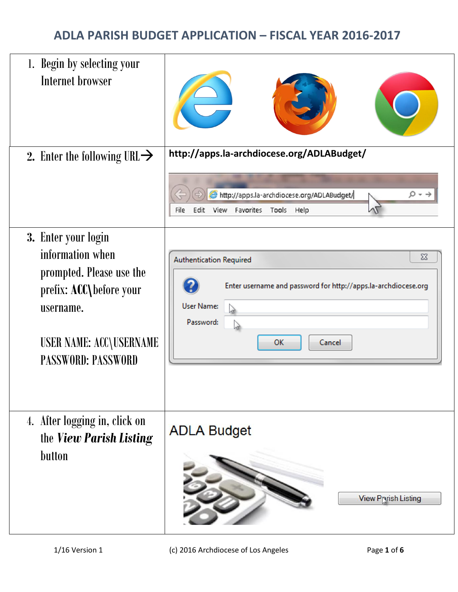| 1. Begin by selecting your<br>Internet browser                                                                                                                      |                                                                                                                                                                |
|---------------------------------------------------------------------------------------------------------------------------------------------------------------------|----------------------------------------------------------------------------------------------------------------------------------------------------------------|
| 2. Enter the following URL $\rightarrow$                                                                                                                            | http://apps.la-archdiocese.org/ADLABudget/<br>http://apps.la-archdiocese.org/ADLABudget/<br>File<br>Edit<br>View<br>Favorites Tools Help                       |
| 3. Enter your login<br>information when<br>prompted. Please use the<br>prefix: ACC\before your<br>username.<br>USER NAME: ACC\USERNAME<br><b>PASSWORD: PASSWORD</b> | $\Sigma$<br><b>Authentication Required</b><br>Enter username and password for http://apps.la-archdiocese.org<br><b>User Name:</b><br>Password:<br>OK<br>Cancel |
| 4. After logging in, click on<br>the View Parish Listing<br>button                                                                                                  | <b>ADLA Budget</b><br><b>View Pryish Listing</b>                                                                                                               |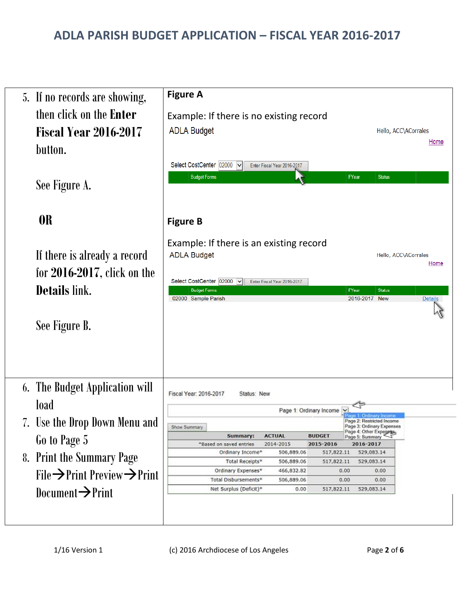| 5. If no records are showing,                                  | <b>Figure A</b>                                                                                                                                                     |
|----------------------------------------------------------------|---------------------------------------------------------------------------------------------------------------------------------------------------------------------|
| then click on the <b>Enter</b><br><b>Fiscal Year 2016-2017</b> | Example: If there is no existing record<br><b>ADLA Budget</b><br>Hello, ACC\ACorrales                                                                               |
| button.                                                        | Home<br>Select CostCenter 02000 v<br>Enter Fiscal Year 2016-2017                                                                                                    |
| See Figure A.                                                  | <b>Budget Forms</b><br>FYear<br><b>Status</b>                                                                                                                       |
| <b>OR</b>                                                      | <b>Figure B</b>                                                                                                                                                     |
| If there is already a record<br>for $2016-2017$ , click on the | Example: If there is an existing record<br><b>ADLA Budget</b><br>Hello, ACC\ACorrales<br>Home                                                                       |
| <b>Details</b> link.                                           | Select CostCenter 02000 v<br>Enter Fiscal Year 2016-2017<br><b>Budget Forms</b><br>FYear<br><b>Status</b><br>02000 Sample Parish<br>2016-2017 New<br><b>Details</b> |
| See Figure B.                                                  |                                                                                                                                                                     |
|                                                                |                                                                                                                                                                     |
| 6. The Budget Application will<br>load                         | Fiscal Year: 2016-2017<br>Status: New                                                                                                                               |
| 7. Use the Drop Down Menu and                                  | Page 1: Ordinary Income<br>e 1: Ordinary Income<br>Page 2: Restricted Income                                                                                        |
|                                                                | Page 3: Ordinary Expenses<br>Show Summary<br>Page 4: Other Expenses,<br><b>ACTUAL</b><br><b>BUDGET</b><br>Summary:<br>Page 5: Summary                               |
| Go to Page 5                                                   | 2014-2015<br>2015-2016<br>"Based on saved entries<br>2016-2017                                                                                                      |
| 8. Print the Summary Page                                      | Ordinary Income*<br>506,889.06<br>517,822.11<br>529,083.14<br>Total Receipts*<br>506,889.06<br>517,822.11<br>529,083.14                                             |
| File $\rightarrow$ Print Preview $\rightarrow$ Print           | Ordinary Expenses*<br>466,832.82<br>0.00<br>0.00                                                                                                                    |
|                                                                | Total Disbursements*<br>506,889.06<br>0.00<br>0.00<br>Net Surplus (Deficit)*<br>0.00<br>517,822.11<br>529,083.14                                                    |
| Document $\rightarrow$ Print                                   |                                                                                                                                                                     |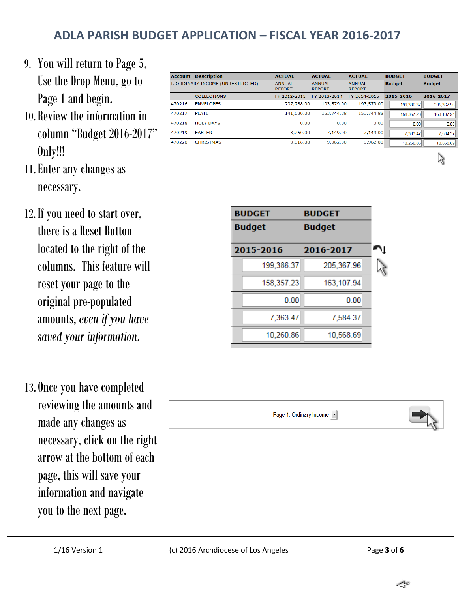| <b>Account Description</b><br><b>ACTUAL</b><br><b>ACTUAL</b><br><b>ACTUAL</b><br><b>BUDGET</b><br><b>BUDGET</b><br>Use the Drop Menu, go to<br>I. ORDINARY INCOME (UNRESTRICTED)<br><b>ANNUAL</b><br><b>ANNUAL</b><br><b>ANNUAL</b><br><b>Budget</b><br>Budget<br><b>REPORT</b><br><b>REPORT</b><br><b>REPORT</b><br>Page 1 and begin.<br>2016-2017<br><b>COLLECTIONS</b><br>FY 2012-2013<br>FY 2013-2014<br>FY 2014-2015<br>2015-2016<br>470216<br><b>ENVELOPES</b><br>193,579.00<br>193,579.00<br>237,268.00<br>199,386.37<br>470217<br><b>PLATE</b><br>10. Review the information in<br>141,630.00<br>153,744.88<br>153,744.88<br>158,357.23<br>470218<br><b>HOLY DAYS</b><br>0.00<br>0.00<br>0.00<br>0.00<br>0.0<br>column "Budget 2016-2017"<br>470219<br><b>EASTER</b><br>7,149.00<br>3,260.00<br>7,149.00<br>7,363.47<br>470220<br><b>CHRISTMAS</b><br>9,816.00<br>9,962.00<br>9,962.00<br>10,260.86<br>Only!!!<br>ベ<br>11. Enter any changes as<br>necessary.<br>12. If you need to start over,<br><b>BUDGET</b><br><b>BUDGET</b><br><b>Budget</b><br><b>Budget</b><br>there is a Reset Button<br>located to the right of the<br>Ą<br>2015-2016<br>2016-2017<br>columns. This feature will<br>205,367.96<br>199,386.37<br>$\zeta$<br>158,357.23<br>163,107.94<br>reset your page to the<br>original pre-populated<br>0.00<br>0.00<br>7,363.47<br>7,584.37<br>amounts, even if you have<br>10,260.86<br>10,568.69<br>saved your information.<br>13. Once you have completed<br>reviewing the amounts and<br>Page 1: Ordinary Income  -<br>made any changes as<br>necessary, click on the right<br>arrow at the bottom of each<br>page, this will save your<br>information and navigate | 9. You will return to Page 5, |  |  |  |           |
|-----------------------------------------------------------------------------------------------------------------------------------------------------------------------------------------------------------------------------------------------------------------------------------------------------------------------------------------------------------------------------------------------------------------------------------------------------------------------------------------------------------------------------------------------------------------------------------------------------------------------------------------------------------------------------------------------------------------------------------------------------------------------------------------------------------------------------------------------------------------------------------------------------------------------------------------------------------------------------------------------------------------------------------------------------------------------------------------------------------------------------------------------------------------------------------------------------------------------------------------------------------------------------------------------------------------------------------------------------------------------------------------------------------------------------------------------------------------------------------------------------------------------------------------------------------------------------------------------------------------------------------------------------------------------------------------------|-------------------------------|--|--|--|-----------|
|                                                                                                                                                                                                                                                                                                                                                                                                                                                                                                                                                                                                                                                                                                                                                                                                                                                                                                                                                                                                                                                                                                                                                                                                                                                                                                                                                                                                                                                                                                                                                                                                                                                                                               |                               |  |  |  |           |
|                                                                                                                                                                                                                                                                                                                                                                                                                                                                                                                                                                                                                                                                                                                                                                                                                                                                                                                                                                                                                                                                                                                                                                                                                                                                                                                                                                                                                                                                                                                                                                                                                                                                                               |                               |  |  |  |           |
|                                                                                                                                                                                                                                                                                                                                                                                                                                                                                                                                                                                                                                                                                                                                                                                                                                                                                                                                                                                                                                                                                                                                                                                                                                                                                                                                                                                                                                                                                                                                                                                                                                                                                               |                               |  |  |  | 205,367.9 |
|                                                                                                                                                                                                                                                                                                                                                                                                                                                                                                                                                                                                                                                                                                                                                                                                                                                                                                                                                                                                                                                                                                                                                                                                                                                                                                                                                                                                                                                                                                                                                                                                                                                                                               |                               |  |  |  | 163,107.9 |
|                                                                                                                                                                                                                                                                                                                                                                                                                                                                                                                                                                                                                                                                                                                                                                                                                                                                                                                                                                                                                                                                                                                                                                                                                                                                                                                                                                                                                                                                                                                                                                                                                                                                                               |                               |  |  |  | 7,584.3   |
|                                                                                                                                                                                                                                                                                                                                                                                                                                                                                                                                                                                                                                                                                                                                                                                                                                                                                                                                                                                                                                                                                                                                                                                                                                                                                                                                                                                                                                                                                                                                                                                                                                                                                               |                               |  |  |  | 10,568.6  |
|                                                                                                                                                                                                                                                                                                                                                                                                                                                                                                                                                                                                                                                                                                                                                                                                                                                                                                                                                                                                                                                                                                                                                                                                                                                                                                                                                                                                                                                                                                                                                                                                                                                                                               |                               |  |  |  |           |
|                                                                                                                                                                                                                                                                                                                                                                                                                                                                                                                                                                                                                                                                                                                                                                                                                                                                                                                                                                                                                                                                                                                                                                                                                                                                                                                                                                                                                                                                                                                                                                                                                                                                                               |                               |  |  |  |           |
|                                                                                                                                                                                                                                                                                                                                                                                                                                                                                                                                                                                                                                                                                                                                                                                                                                                                                                                                                                                                                                                                                                                                                                                                                                                                                                                                                                                                                                                                                                                                                                                                                                                                                               |                               |  |  |  |           |
|                                                                                                                                                                                                                                                                                                                                                                                                                                                                                                                                                                                                                                                                                                                                                                                                                                                                                                                                                                                                                                                                                                                                                                                                                                                                                                                                                                                                                                                                                                                                                                                                                                                                                               |                               |  |  |  |           |
|                                                                                                                                                                                                                                                                                                                                                                                                                                                                                                                                                                                                                                                                                                                                                                                                                                                                                                                                                                                                                                                                                                                                                                                                                                                                                                                                                                                                                                                                                                                                                                                                                                                                                               |                               |  |  |  |           |
|                                                                                                                                                                                                                                                                                                                                                                                                                                                                                                                                                                                                                                                                                                                                                                                                                                                                                                                                                                                                                                                                                                                                                                                                                                                                                                                                                                                                                                                                                                                                                                                                                                                                                               |                               |  |  |  |           |
|                                                                                                                                                                                                                                                                                                                                                                                                                                                                                                                                                                                                                                                                                                                                                                                                                                                                                                                                                                                                                                                                                                                                                                                                                                                                                                                                                                                                                                                                                                                                                                                                                                                                                               |                               |  |  |  |           |
|                                                                                                                                                                                                                                                                                                                                                                                                                                                                                                                                                                                                                                                                                                                                                                                                                                                                                                                                                                                                                                                                                                                                                                                                                                                                                                                                                                                                                                                                                                                                                                                                                                                                                               |                               |  |  |  |           |
|                                                                                                                                                                                                                                                                                                                                                                                                                                                                                                                                                                                                                                                                                                                                                                                                                                                                                                                                                                                                                                                                                                                                                                                                                                                                                                                                                                                                                                                                                                                                                                                                                                                                                               |                               |  |  |  |           |
|                                                                                                                                                                                                                                                                                                                                                                                                                                                                                                                                                                                                                                                                                                                                                                                                                                                                                                                                                                                                                                                                                                                                                                                                                                                                                                                                                                                                                                                                                                                                                                                                                                                                                               |                               |  |  |  |           |
|                                                                                                                                                                                                                                                                                                                                                                                                                                                                                                                                                                                                                                                                                                                                                                                                                                                                                                                                                                                                                                                                                                                                                                                                                                                                                                                                                                                                                                                                                                                                                                                                                                                                                               |                               |  |  |  |           |
| you to the next page.                                                                                                                                                                                                                                                                                                                                                                                                                                                                                                                                                                                                                                                                                                                                                                                                                                                                                                                                                                                                                                                                                                                                                                                                                                                                                                                                                                                                                                                                                                                                                                                                                                                                         |                               |  |  |  |           |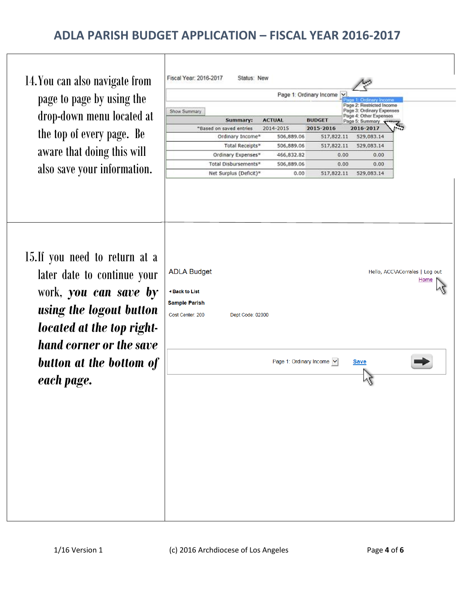Т

| 14. You can also navigate from<br>page to page by using the<br>drop-down menu located at<br>the top of every page. Be<br>aware that doing this will<br>also save your information.      | Fiscal Year: 2016-2017<br>Show Summary                                                | Status: New<br>Summary:<br>"Based on saved entries<br>Ordinary Income*<br>Total Receipts*<br>Ordinary Expenses*<br>Total Disbursements*<br>Net Surplus (Deficit)* | <b>ACTUAL</b><br>2014-2015<br>506,889.06<br>506,889.06<br>466,832.82<br>506,889.06<br>0.00 | Page 1: Ordinary Income Y<br><b>BUDGET</b><br>2015-2016<br>517,822.11<br>517,822.11<br>0.00<br>0.00<br>517,822.11 | Page 1: Ordinary Incor<br>Page 2: Restricted Income<br>Page 3: Ordinary Expenses<br>Page 4: Other Expenses<br>Page 5: Summary<br>2016-2017<br>529,083.14<br>529,083.14<br>0.00<br>0.00<br>529,083.14 |                                        |
|-----------------------------------------------------------------------------------------------------------------------------------------------------------------------------------------|---------------------------------------------------------------------------------------|-------------------------------------------------------------------------------------------------------------------------------------------------------------------|--------------------------------------------------------------------------------------------|-------------------------------------------------------------------------------------------------------------------|------------------------------------------------------------------------------------------------------------------------------------------------------------------------------------------------------|----------------------------------------|
| 15. If you need to return at a<br>later date to continue your<br>work, <b>you can save by</b><br>using the logout button<br>located at the top right-<br><b>hand corner or the save</b> | <b>ADLA Budget</b><br><b>Back to List</b><br><b>Sample Parish</b><br>Cost Center: 200 | Dept Code: 02000                                                                                                                                                  |                                                                                            |                                                                                                                   |                                                                                                                                                                                                      | Hello, ACC\ACorrales   Log out<br>Home |
| button at the bottom of<br>each page.                                                                                                                                                   |                                                                                       |                                                                                                                                                                   | Page 1: Ordinary Income V                                                                  |                                                                                                                   | <b>Save</b>                                                                                                                                                                                          |                                        |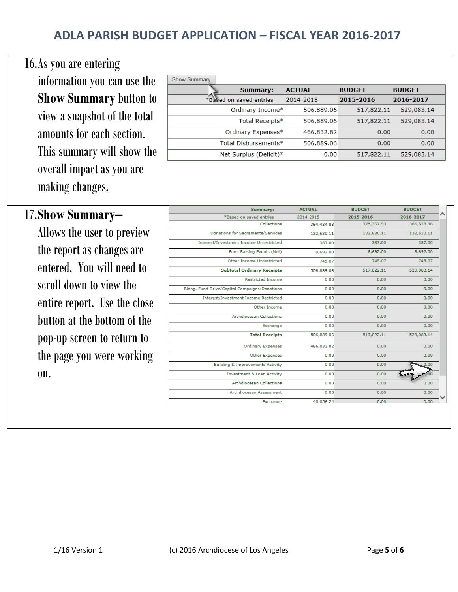| 16. As you are entering       |
|-------------------------------|
| information you can use the   |
| <b>Show Summary button to</b> |
| view a snapshot of the total  |
| amounts for each section.     |
| This summary will show the    |
| overall impact as you are     |
| making changes.               |

### 17.**Show Summary–**

Allows the user to preview the report as changes are entered. You will need to scroll down to view the entire report. Use the close button at the bottom of the pop-up screen to return to the page you were working on.

| <b>Show Summary</b>     |               |               |               |
|-------------------------|---------------|---------------|---------------|
| <b>Summary:</b>         | <b>ACTUAL</b> | <b>BUDGET</b> | <b>BUDGET</b> |
| *Based on saved entries | 2014-2015     | 2015-2016     | 2016-2017     |
| Ordinary Income*        | 506,889.06    | 517,822.11    | 529,083.14    |
| Total Receipts*         | 506,889.06    | 517,822.11    | 529,083.14    |
| Ordinary Expenses*      | 466,832.82    | 0.00          | 0.00          |
| Total Disbursements*    | 506,889.06    | 0.00          | 0.00          |
| Net Surplus (Deficit)*  | 0.00          | 517,822.11    | 529,083.14    |

|        | <b>BUDGET</b> | <b>BUDGET</b> | <b>ACTUAL</b> | <b>Summary:</b>                               |
|--------|---------------|---------------|---------------|-----------------------------------------------|
|        | 2016-2017     | 2015-2016     | 2014-2015     | *Based on saved entries                       |
|        | 386,628,96    | 375,367.93    | 364,434.88    | Collections                                   |
|        | 132,630.11    | 132,630.11    | 132,630.11    | Donations for Sacraments/Services             |
| 387.00 |               | 387.00        | 387.00        | Interest/Investment Income Unrestricted       |
|        | 8,692.00      | 8,692.00      | 8,692,00      | Fund Raising Events (Net)                     |
| 745.07 |               | 745.07        | 745.07        | Other Income Unrestricted                     |
|        | 529,083.14    | 517,822.11    | 506,889.06    | <b>Subtotal Ordinary Receipts</b>             |
| 0.00   |               | 0.00          | 0.00          | <b>Restricted Income</b>                      |
| 0.00   |               | 0.00          | 0.00          | Bldng, Fund Drive/Capital Campaigns/Donations |
| 0.00   |               | 0.00          | 0.00          | Interest/Investment Income Restricted         |
| 0.00   |               | 0.00          | 0.00          | Other Income                                  |
| 0.00   |               | 0.00          | 0.00          | <b>Archdiocesan Collections</b>               |
| 0.00   |               | 0.00          | 0.00          | Exchange                                      |
|        | 529,083.14    | 517,822.11    | 506,889.06    | <b>Total Receipts</b>                         |
| 0.00   |               | 0.00          | 466,832,82    | <b>Ordinary Expenses</b>                      |
| 0.00   |               | 0.00          | 0.00          | <b>Other Expenses</b>                         |
| 0.00   |               | 0.00          | 0.00          | <b>Building &amp; Improvements Activity</b>   |
|        |               | 0.00          | 0.00          | <b>Investment &amp; Loan Activity</b>         |
| 0.00   |               | 0.00          | 0.00          | <b>Archdiocesan Collections</b>               |
| 0.00   |               | 0.00          | 0.00          | Archdiocesan Assessment                       |
| 0.00   |               | 0.00          | 40.056.24     | Exchange                                      |